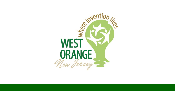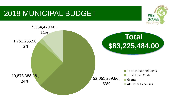## 2018 MUNICIPAL BUDGET



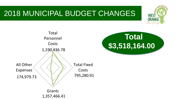## 2018 MUNICIPAL BUDGET CHANGES



**Total** 

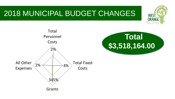## 2018 MUNICIPAL BUDGET CHANGES





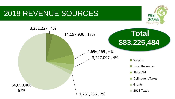## 2018 REVENUE SOURCES



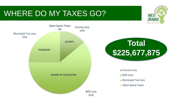## WHERE DO MY TAXES GO?







**County Levy BOE Levy Municipal Tax Levy** Open Space Taxes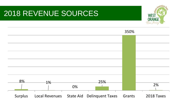## 2018 REVENUE SOURCES



|         |    |    |                                           | 350%   |            |
|---------|----|----|-------------------------------------------|--------|------------|
|         |    |    |                                           |        |            |
|         |    |    |                                           |        |            |
|         |    |    |                                           |        |            |
|         |    |    |                                           |        |            |
|         |    |    |                                           |        |            |
| 8%      |    |    | 25%                                       |        |            |
|         | 1% | 0% |                                           |        | 2%         |
| Surplus |    |    | Local Revenues State Aid Delinquent Taxes | Grants | 2018 Taxes |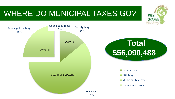## WHERE DO MUNICIPAL TAXES GO?



**WEST**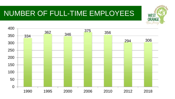## NUMBER OF FULL-TIME EMPLOYEES



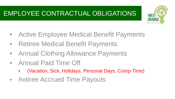### EMPLOYEE CONTRACTUAL OBLIGATIONS



- Active Employee Medical Benefit Payments
- Retiree Medical Benefit Payments
- Annual Clothing Allowance Payments
- Annual Paid Time Off
	- (Vacation, Sick, Holidays, Personal Days, Comp-Time)
- Retiree Accrued Time Payouts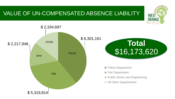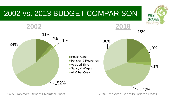

14% Employee Benefits Related Costs 28% Employee Benefits Related Costs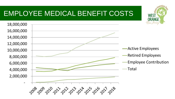## EMPLOYEE MEDICAL BENEFIT COSTS



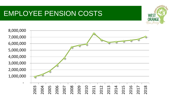## EMPLOYEE PENSION COSTS



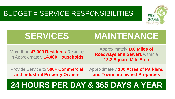### BUDGET = SERVICE RESPONSIBILITIES



## **SERVICES MAINTENANCE**

More than **47,000 Residents** Residing in Approximately **14,000 Households**

Approximately **100 Miles of Roadways and Sewers** within a **12.2 Square-Mile Area** 

Provide Service to **500+ Commercial and Industrial Property Owners**

Approximately **100 Acres of Parkland and Township-owned Properties**

## **24 HOURS PER DAY & 365 DAYS A YEAR**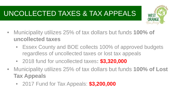## UNCOLLECTED TAXES & TAX APPEALS



- Municipality utilizes 25% of tax dollars but funds **100% of uncollected taxes**
	- Essex County and BOE collects 100% of approved budgets regardless of uncollected taxes or lost tax appeals
	- 2018 fund for uncollected taxes**: \$3,320,000**
- Municipality utilizes 25% of tax dollars but funds **100% of Lost Tax Appeals**
	- 2017 Fund for Tax Appeals: **\$3,200,000**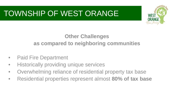## TOWNSHIP OF WEST ORANGE



#### **Other Challenges as compared to neighboring communities**

- Paid Fire Department
- Historically providing unique services
- Overwhelming reliance of residential property tax base
- Residential properties represent almost **80% of tax base**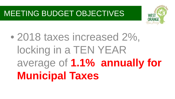## MEETING BUDGET OBJECTIVES



# • 2018 taxes increased 2%, locking in a TEN YEAR average of **1.1% annually for Municipal Taxes**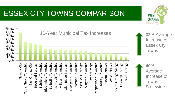## ESSEX CTY TOWNS COMPARISON



**WEST ORANGE** New Fersey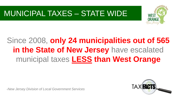## MUNICIPAL TAXES – STATE WIDE



## Since 2008, **only 24 municipalities out of 565 in the State of New Jersey** have escalated municipal taxes **LESS than West Orange**

*-New Jersey Division of Local Government Services*

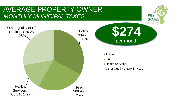#### AVERAGE PROPERTY OWNER *MONTHLY MUNICIPAL TAXES*



**WEST**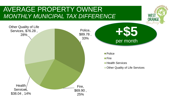#### AVERAGE PROPERTY OWNER *MONTHLY MUNICIPAL TAX DIFFERENCE*



**WEST**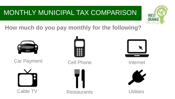## MONTHLY MUNICIPAL TAX COMPARISON



**How much do you pay monthly for the following?**



Car Payment Cell Phone Cell and Internet









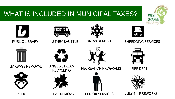### WHAT IS INCLUDED IN MUNICIPAL TAXES?



**Rolais** 

JITNEY SHUTTLE





#### SNOW REMOVAL SHREDDING SERVICES

**WEST ORANGE** New Jerse



GARBAGE REMOVAL



SINGLE-STREAM

**RECYCLING** 

LEAF REMOVAL



RECREATION PROGRAMS FIRE DEPT





SENIOR SERVICES JULY 4TH FIREWORKS

**POLICE**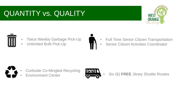## QUANTITY vs. QUALITY





- **Twice Weekly Garbage Pick-Up**
- Unlimited Bulk Pick-Up



- Full Time Senior Citizen Transportation
- Senior Citizen Activities Coordinator



- Curbside Co-Mingled Recycling
- **Environment Center**



• Six (6) **FREE** Jitney Shuttle Routes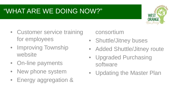## "WHAT ARE WE DOING NOW?"



- Customer service training for employees
- Improving Township website
- On-line payments
- New phone system
- Energy aggregation &

consortium

- Shuttle/Jitney buses
- Added Shuttle/Jitney route
- Upgraded Purchasing software
- Updating the Master Plan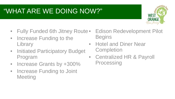## "WHAT ARE WE DOING NOW?"



- Fully Funded 6th Jitney Route •
- Increase Funding to the **Library**
- Initiated Participatory Budget Program
- Increase Grants by +300%
- Increase Funding to Joint **Meeting**

• Edison Redevelopment Pilot **Begins** 

- Hotel and Diner Near **Completion**
- Centralized HR & Payroll **Processing**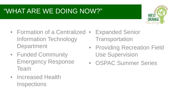## "WHAT ARE WE DOING NOW?"



- Formation of a Centralized Expanded Senior Information Technology **Department**
- Funded Community Emergency Response Team
- Increased Health **Inspections**
- **Transportation**
- Providing Recreation Field Use Supervision
- OSPAC Summer Series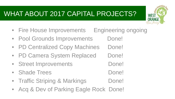## WHAT ABOUT 2017 CAPITAL PROJECTS?

• Fire House Improvements Engineering ongoing

new terses

- Pool Grounds Improvements Done!
- PD Centralized Copy Machines Done!
- PD Camera System Replaced Done!
- Street Improvements Done!
- Shade Trees Done!
- Traffic Striping & Markings Done!
- Acq & Dev of Parking Eagle Rock Done!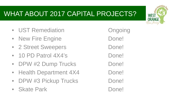## WHAT ABOUT 2017 CAPITAL PROJECTS?

- UST Remediation **Ongoing**
- New Fire Engine **Done!**
- 2 Street Sweepers Done!
- 10 PD Patrol 4X4's Done!
- DPW #2 Dump Trucks Done!
- Health Department 4X4 Done!
- DPW #3 Pickup Trucks Done!
- Skate Park Done!

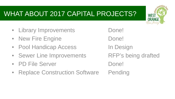## WHAT ABOUT 2017 CAPITAL PROJECTS?

- Library Improvements Done!
- New Fire Engine **Done!**
- Pool Handicap Access In Design
- Sewer Line Improvements RFP's being drafted
- PD File Server Done!
- Replace Construction Software Pending

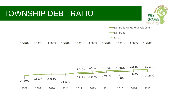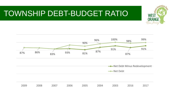## TOWNSHIP DEBT-BUDGET RATIO



**When** 

**WEST ORANGE** New Fersey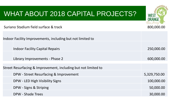| WHAT ABOUT 2018 CAPITAL PROJECTS?                              |              |
|----------------------------------------------------------------|--------------|
| Suriano Stadium field surface & track                          | 800,000.00   |
| Indoor Facility Improvements, including but not limited to     |              |
| <b>Indoor Facility Capital Repairs</b>                         | 250,000.00   |
| Library Improvements - Phase 2                                 | 600,000.00   |
| Street Resurfacing & Improvement, including but not limited to |              |
| DPW - Street Resurfacing & Improvement                         | 5,329,750.00 |
| DPW - LED High Visibility Signs                                | 100,000.00   |
| DPW - Signs & Striping                                         | 50,000.00    |
| <b>DPW - Shade Trees</b>                                       | 30,000.00    |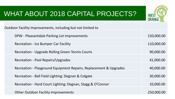

### WHAT ABOUT 2018 CAPITAL PROJECTS?

| Outdoor Facility Improvements, including but not limited to       |            |  |  |
|-------------------------------------------------------------------|------------|--|--|
| DPW - Pleasantdale Parking Lot Improvements                       | 150,000.00 |  |  |
| <b>Recreation - Ice Bumper Car Facility</b>                       | 110,000.00 |  |  |
| Recreation - Upgrade Rolling Green Tennis Courts                  | 90,000.00  |  |  |
| Recreation - Pool Repairs/Upgrades                                | 41,000.00  |  |  |
| Recreation - Playground Equipment Repairs, Replacement & Upgrades | 40,000.00  |  |  |
| Recreation - Ball Field Lighting: Degnan & Colgate                | 30,000.00  |  |  |
| Recreation - Hard Court Lighting: Degnan, Stagg & O'Connor        | 10,000.00  |  |  |
| <b>Other Outdoor Facility Improvements</b>                        | 250,000.00 |  |  |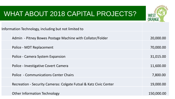## WHAT ABOUT 2018 CAPITAL PROJECTS?



| Information Technology, including but not limited to              |            |
|-------------------------------------------------------------------|------------|
| Admin - Pitney Bowes Postage Machine with Collator/Folder         | 20,000.00  |
| Police - MDT Replacement                                          | 70,000.00  |
| Police - Camera System Expansion                                  | 31,015.00  |
| Police - Investigative Covert Camera                              | 11,600.00  |
| Police - Communications Center Chairs                             | 7,800.00   |
| Recreation - Security Cameras: Colgate Futsal & Katz Civic Center | 19,000.00  |
| <b>Other Information Technology</b>                               | 150,000.00 |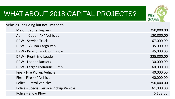

## WHAT ABOUT 2018 CAPITAL PROJECTS?

| Vehicles, including but not limited to |                                         |            |
|----------------------------------------|-----------------------------------------|------------|
|                                        | <b>Major Capital Repairs</b>            | 250,000.00 |
|                                        | Admin, Code - 4X4 Vehicles              | 120,000.00 |
|                                        | <b>DPW - Service Truck</b>              | 67,000.00  |
|                                        | DPW - 1/2 Ton Cargo Van                 | 35,000.00  |
|                                        | DPW - Pickup Truck with Plow            | 45,000.00  |
|                                        | DPW - Front End Loader                  | 225,000.00 |
|                                        | <b>DPW - Loader Buckets</b>             | 30,000.00  |
|                                        | DPW - Larger Hydraulic Pump             | 60,000.00  |
|                                        | Fire - Fire Pickup Vehicle              | 40,000.00  |
|                                        | Fire - Fire 4x4 Vehicle                 | 40,000.00  |
|                                        | <b>Police - Patrol Vehicles</b>         | 250,000.00 |
|                                        | Police - Special Service Pickup Vehicle | 61,000.00  |
|                                        | <b>Police - Snow Plow</b>               | 6,158.00   |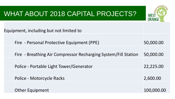## WHAT ABOUT 2018 CAPITAL PROJECTS? **WEST** Equipment, including but not limited to Fire - Personal Protective Equipment (PPE) 50,000.00 Fire - Breathing Air Compressor Recharging System/Fill Station 50,000.00 Police - Portable Light Tower/Generator 22,225.00 Police - Motorcycle Racks 2,600.00 Other Equipment 100,000.00